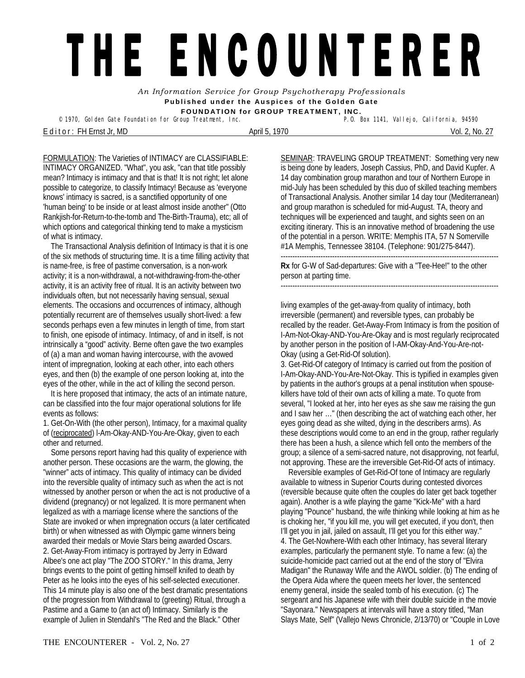## THE ENCOUNTERER

*An Information Service for Group Psychotherapy Professionals*  **Published under the Auspices of the Golden Gate FOUNDATION for GROUP TREATMENT, INC.** 

<sup>©</sup> 1970, Golden Gate Foundation for Group Treatment, Inc.

E d i t o r : FH Ernst Jr, MD April 5, 1970 Vol. 2, No. 27

FORMULATION: The Varieties of INTIMACY are CLASSIFIABLE: INTIMACY ORGANIZED. "What", you ask, "can that title possibly mean? Intimacy is intimacy and that is that! It is not right; let alone possible to categorize, to classify Intimacy! Because as 'everyone knows' intimacy is sacred, is a sanctified opportunity of one 'human being' to be inside or at least almost inside another" (Otto Rankjish-for-Return-to-the-tomb and The-Birth-Trauma), etc; all of which options and categorical thinking tend to make a mysticism

of what is intimacy. The Transactional Analysis definition of Intimacy is that it is one of the six methods of structuring time. It is a time filling activity that is name-free, is free of pastime conversation, is a non-work activity; it is a non-withdrawal, a not-withdrawing-from-the-other activity, it is an activity free of ritual. It is an activity between two individuals often, but not necessarily having sensual, sexual elements. The occasions and occurrences of intimacy, although potentially recurrent are of themselves usually short-lived: a few seconds perhaps even a few minutes in length of time, from start to finish, one episode of intimacy. Intimacy, of and in itself, is not intrinsically a "good" activity. Berne often gave the two examples of (a) a man and woman having intercourse, with the avowed intent of impregnation, looking at each other, into each others eyes, and then (b) the example of one person looking at, into the eyes of the other, while in the act of killing the second person.

 It is here proposed that intimacy, the acts of an intimate nature, can be classified into the four major operational solutions for life events as follows:

1. Get-On-With (the other person), Intimacy, for a maximal quality of (reciprocated) l-Am-Okay-AND-You-Are-Okay, given to each other and returned.

 Some persons report having had this quality of experience with another person. These occasions are the warm, the glowing, the "winner" acts of intimacy. This quality of intimacy can be divided into the reversible quality of intimacy such as when the act is not witnessed by another person or when the act is not productive of a dividend (pregnancy) or not legalized. It is more permanent when legalized as with a marriage license where the sanctions of the State are invoked or when impregnation occurs (a later certificated birth) or when witnessed as with Olympic game winners being awarded their medals or Movie Stars being awarded Oscars. 2. Get-Away-From intimacy is portrayed by Jerry in Edward Albee's one act play "The ZOO STORY." In this drama, Jerry brings events to the point of getting himself knifed to death by Peter as he looks into the eyes of his self-selected executioner. This 14 minute play is also one of the best dramatic presentations of the progression from Withdrawal to (greeting) Ritual, through a Pastime and a Game to (an act of) Intimacy. Similarly is the example of Julien in Stendahl's "The Red and the Black." Other

SEMINAR: TRAVELING GROUP TREATMENT: Something very new is being done by leaders, Joseph Cassius, PhD, and David Kupfer. A 14 day combination group marathon and tour of Northern Europe in mid-July has been scheduled by this duo of skilled teaching members of Transactional Analysis. Another similar 14 day tour (Mediterranean) and group marathon is scheduled for mid-August. TA, theory and techniques will be experienced and taught, and sights seen on an exciting itinerary. This is an innovative method of broadening the use of the potential in a person. WRITE: Memphis ITA, 57 N Somerville #1A Memphis, Tennessee 38104. (Telephone: 901/275-8447).

**Rx** for G-W of Sad-departures: Give with a "Tee-Hee!" to the other person at parting time.

---------------------------------------------------------------------------------------------

living examples of the get-away-from quality of intimacy, both irreversible (permanent) and reversible types, can probably be recalled by the reader. Get-Away-From Intimacy is from the position of I-Am-Not-Okay-AND-You-Are-Okay and is most regularly reciprocated by another person in the position of I-AM-Okay-And-You-Are-not-Okay (using a Get-Rid-Of solution).

---------------------------------------------------------------------------------------------

3. Get-Rid-Of category of Intimacy is carried out from the position of I-Am-Okay-AND-You-Are-Not-Okay. This is typified in examples given by patients in the author's groups at a penal institution when spousekillers have told of their own acts of killing a mate. To quote from several, "I looked at her, into her eyes as she saw me raising the gun and I saw her …" (then describing the act of watching each other, her eyes going dead as she wilted, dying in the describers arms). As these descriptions would come to an end in the group, rather regularly there has been a hush, a silence which fell onto the members of the group; a silence of a semi-sacred nature, not disapproving, not fearful, not approving. These are the irreversible Get-Rid-Of acts of intimacy.

 Reversible examples of Get-Rid-Of tone of Intimacy are regularly available to witness in Superior Courts during contested divorces (reversible because quite often the couples do later get back together again). Another is a wife playing the game "Kick-Me" with a hard playing "Pounce" husband, the wife thinking while looking at him as he is choking her, "if you kill me, you will get executed, if you don't, then I'll get you in jail, jailed on assault, I'll get you for this either way." 4. The Get-Nowhere-With each other Intimacy, has several literary examples, particularly the permanent style. To name a few: (a) the suicide-homicide pact carried out at the end of the story of "Elvira Madigan" the Runaway Wife and the AWOL soldier. (b) The ending of the Opera Aida where the queen meets her lover, the sentenced enemy general, inside the sealed tomb of his execution. (c) The sergeant and his Japanese wife with their double suicide in the movie "Sayonara." Newspapers at intervals will have a story titled, "Man Slays Mate, Self" (Vallejo News Chronicle, 2/13/70) or "Couple in Love